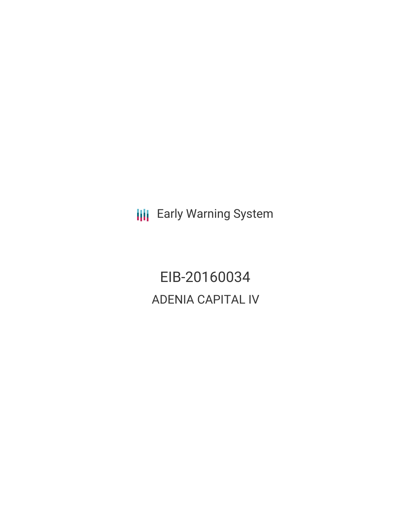**III** Early Warning System

EIB-20160034 ADENIA CAPITAL IV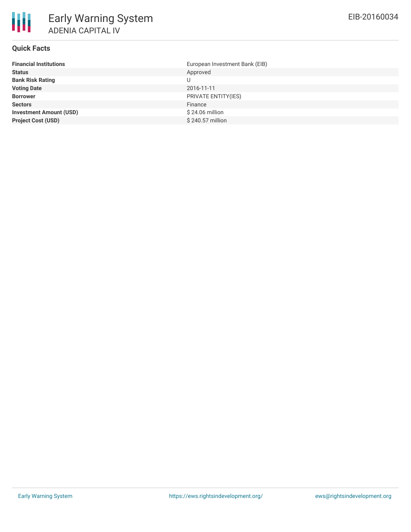

# **Quick Facts**

| <b>Financial Institutions</b>  | European Investment Bank (EIB) |
|--------------------------------|--------------------------------|
| <b>Status</b>                  | Approved                       |
| <b>Bank Risk Rating</b>        |                                |
| <b>Voting Date</b>             | 2016-11-11                     |
| <b>Borrower</b>                | PRIVATE ENTITY(IES)            |
| <b>Sectors</b>                 | Finance                        |
| <b>Investment Amount (USD)</b> | $$24.06$ million               |
| <b>Project Cost (USD)</b>      | \$240.57 million               |
|                                |                                |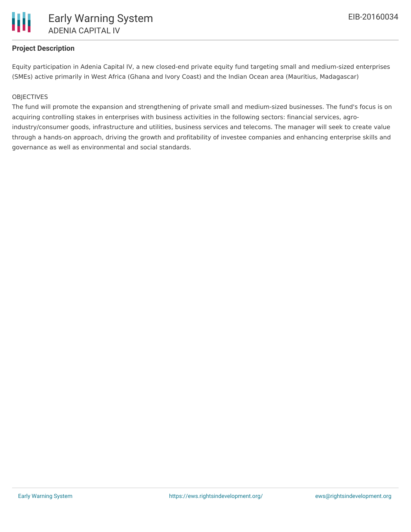

## **Project Description**

Equity participation in Adenia Capital IV, a new closed-end private equity fund targeting small and medium-sized enterprises (SMEs) active primarily in West Africa (Ghana and Ivory Coast) and the Indian Ocean area (Mauritius, Madagascar)

#### **OBJECTIVES**

The fund will promote the expansion and strengthening of private small and medium-sized businesses. The fund's focus is on acquiring controlling stakes in enterprises with business activities in the following sectors: financial services, agroindustry/consumer goods, infrastructure and utilities, business services and telecoms. The manager will seek to create value through a hands-on approach, driving the growth and profitability of investee companies and enhancing enterprise skills and governance as well as environmental and social standards.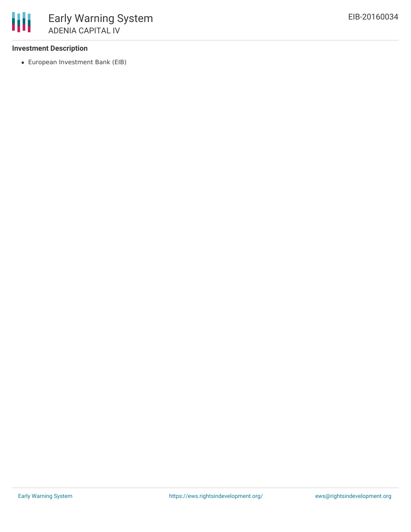### **Investment Description**

European Investment Bank (EIB)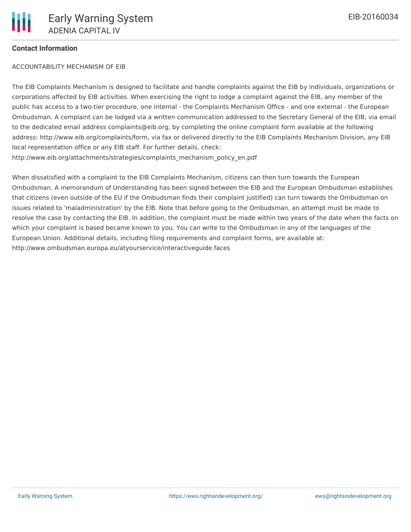#### **Contact Information**

#### ACCOUNTABILITY MECHANISM OF EIB

The EIB Complaints Mechanism is designed to facilitate and handle complaints against the EIB by individuals, organizations or corporations affected by EIB activities. When exercising the right to lodge a complaint against the EIB, any member of the public has access to a two-tier procedure, one internal - the Complaints Mechanism Office - and one external - the European Ombudsman. A complaint can be lodged via a written communication addressed to the Secretary General of the EIB, via email to the dedicated email address complaints@eib.org, by completing the online complaint form available at the following address: http://www.eib.org/complaints/form, via fax or delivered directly to the EIB Complaints Mechanism Division, any EIB local representation office or any EIB staff. For further details, check: http://www.eib.org/attachments/strategies/complaints\_mechanism\_policy\_en.pdf

When dissatisfied with a complaint to the EIB Complaints Mechanism, citizens can then turn towards the European Ombudsman. A memorandum of Understanding has been signed between the EIB and the European Ombudsman establishes that citizens (even outside of the EU if the Ombudsman finds their complaint justified) can turn towards the Ombudsman on issues related to 'maladministration' by the EIB. Note that before going to the Ombudsman, an attempt must be made to resolve the case by contacting the EIB. In addition, the complaint must be made within two years of the date when the facts on which your complaint is based became known to you. You can write to the Ombudsman in any of the languages of the European Union. Additional details, including filing requirements and complaint forms, are available at: http://www.ombudsman.europa.eu/atyourservice/interactiveguide.faces